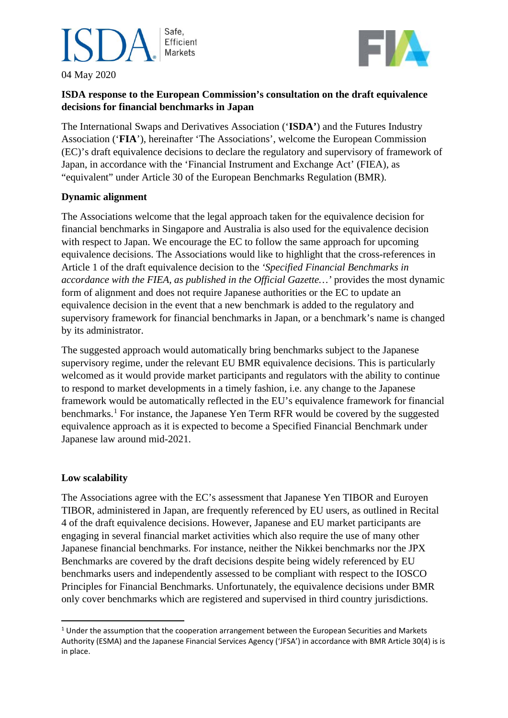### Safe, Efficient **Markets**

04 May 2020



### **ISDA response to the European Commission's consultation on the draft equivalence decisions for financial benchmarks in Japan**

The International Swaps and Derivatives Association ('**ISDA'**) and the Futures Industry Association ('**FIA**'), hereinafter 'The Associations', welcome the European Commission (EC)'s draft equivalence decisions to declare the regulatory and supervisory of framework of Japan, in accordance with the 'Financial Instrument and Exchange Act' (FIEA), as "equivalent" under Article 30 of the European Benchmarks Regulation (BMR).

#### **Dynamic alignment**

The Associations welcome that the legal approach taken for the equivalence decision for financial benchmarks in Singapore and Australia is also used for the equivalence decision with respect to Japan. We encourage the EC to follow the same approach for upcoming equivalence decisions. The Associations would like to highlight that the cross-references in Article 1 of the draft equivalence decision to the *'Specified Financial Benchmarks in accordance with the FIEA, as published in the Official Gazette…'* provides the most dynamic form of alignment and does not require Japanese authorities or the EC to update an equivalence decision in the event that a new benchmark is added to the regulatory and supervisory framework for financial benchmarks in Japan, or a benchmark's name is changed by its administrator.

The suggested approach would automatically bring benchmarks subject to the Japanese supervisory regime, under the relevant EU BMR equivalence decisions. This is particularly welcomed as it would provide market participants and regulators with the ability to continue to respond to market developments in a timely fashion, i.e. any change to the Japanese framework would be automatically reflected in the EU's equivalence framework for financial benchmarks.<sup>[1](#page-0-0)</sup> For instance, the Japanese Yen Term RFR would be covered by the suggested equivalence approach as it is expected to become a Specified Financial Benchmark under Japanese law around mid-2021.

### **Low scalability**

The Associations agree with the EC's assessment that Japanese Yen TIBOR and Euroyen TIBOR, administered in Japan, are frequently referenced by EU users, as outlined in Recital 4 of the draft equivalence decisions. However, Japanese and EU market participants are engaging in several financial market activities which also require the use of many other Japanese financial benchmarks. For instance, neither the Nikkei benchmarks nor the JPX Benchmarks are covered by the draft decisions despite being widely referenced by EU benchmarks users and independently assessed to be compliant with respect to the IOSCO Principles for Financial Benchmarks. Unfortunately, the equivalence decisions under BMR only cover benchmarks which are registered and supervised in third country jurisdictions.

<span id="page-0-0"></span> $1$  Under the assumption that the cooperation arrangement between the European Securities and Markets Authority (ESMA) and the Japanese Financial Services Agency ('JFSA') in accordance with BMR Article 30(4) is is in place.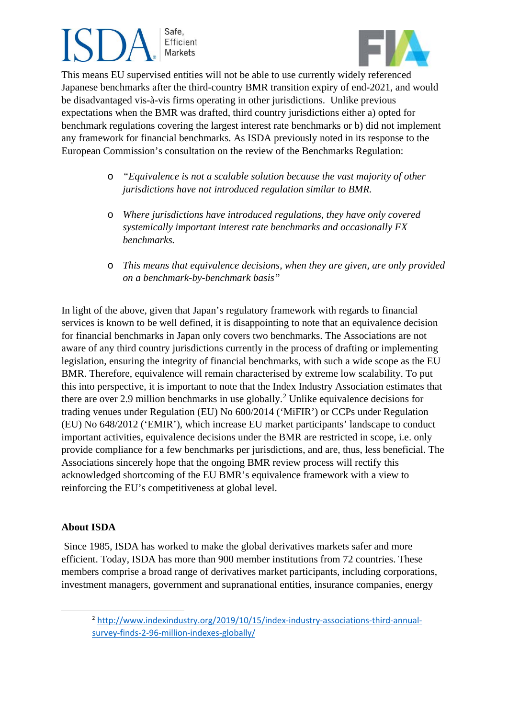# Safe, Efficient **Markets**



 This means EU supervised entities will not be able to use currently widely referenced Japanese benchmarks after the third-country BMR transition expiry of end-2021, and would be disadvantaged vis-à-vis firms operating in other jurisdictions. Unlike previous expectations when the BMR was drafted, third country jurisdictions either a) opted for benchmark regulations covering the largest interest rate benchmarks or b) did not implement any framework for financial benchmarks. As ISDA previously noted in its response to the European Commission's consultation on the review of the Benchmarks Regulation:

- o *"Equivalence is not a scalable solution because the vast majority of other jurisdictions have not introduced regulation similar to BMR.*
- o *Where jurisdictions have introduced regulations, they have only covered systemically important interest rate benchmarks and occasionally FX benchmarks.*
- o *This means that equivalence decisions, when they are given, are only provided on a benchmark-by-benchmark basis"*

In light of the above, given that Japan's regulatory framework with regards to financial services is known to be well defined, it is disappointing to note that an equivalence decision for financial benchmarks in Japan only covers two benchmarks. The Associations are not aware of any third country jurisdictions currently in the process of drafting or implementing legislation, ensuring the integrity of financial benchmarks, with such a wide scope as the EU BMR. Therefore, equivalence will remain characterised by extreme low scalability. To put this into perspective, it is important to note that the Index Industry Association estimates that there are over [2](#page-1-0).9 million benchmarks in use globally.<sup>2</sup> Unlike equivalence decisions for trading venues under Regulation (EU) No 600/2014 ('MiFIR') or CCPs under Regulation (EU) No 648/2012 ('EMIR'), which increase EU market participants' landscape to conduct important activities, equivalence decisions under the BMR are restricted in scope, i.e. only provide compliance for a few benchmarks per jurisdictions, and are, thus, less beneficial. The Associations sincerely hope that the ongoing BMR review process will rectify this acknowledged shortcoming of the EU BMR's equivalence framework with a view to reinforcing the EU's competitiveness at global level.

### **About ISDA**

Since 1985, ISDA has worked to make the global derivatives markets safer and more efficient. Today, ISDA has more than 900 member institutions from 72 countries. These members comprise a broad range of derivatives market participants, including corporations, investment managers, government and supranational entities, insurance companies, energy

<span id="page-1-0"></span><sup>2</sup> [http://www.indexindustry.org/2019/10/15/index-industry-associations-third-annual](https://urldefense.proofpoint.com/v2/url?u=http-3A__www.indexindustry.org_2019_10_15_index-2Dindustry-2Dassociations-2Dthird-2Dannual-2Dsurvey-2Dfinds-2D2-2D96-2Dmillion-2Dindexes-2Dglobally_&d=DwQGaQ&c=euGZstcaTDllvimEN8b7jXrwqOf-v5A_CdpgnVfiiMM&r=JopkxK8FtHwTIv8Ea-k0Qg&m=nHzdhw2ydrdx1QMaLQOU9cjtgvkmMsRI4SbiJPV8SEc&s=ykzs5F03KyLb9riiA30clYnnKDIPL2mdcjBKVnt7In0&e=)[survey-finds-2-96-million-indexes-globally/](https://urldefense.proofpoint.com/v2/url?u=http-3A__www.indexindustry.org_2019_10_15_index-2Dindustry-2Dassociations-2Dthird-2Dannual-2Dsurvey-2Dfinds-2D2-2D96-2Dmillion-2Dindexes-2Dglobally_&d=DwQGaQ&c=euGZstcaTDllvimEN8b7jXrwqOf-v5A_CdpgnVfiiMM&r=JopkxK8FtHwTIv8Ea-k0Qg&m=nHzdhw2ydrdx1QMaLQOU9cjtgvkmMsRI4SbiJPV8SEc&s=ykzs5F03KyLb9riiA30clYnnKDIPL2mdcjBKVnt7In0&e=)